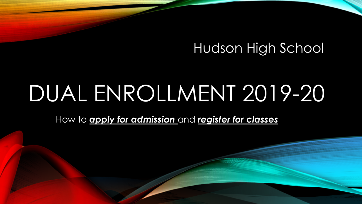#### Hudson High School

# DUAL ENROLLMENT 2019-20

How to *apply for admission* and *register for classes*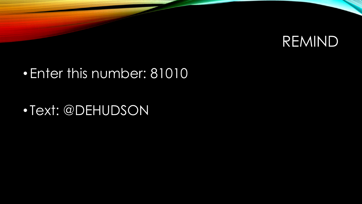

#### • Enter this number: 81010

• Text: @DEHUDSON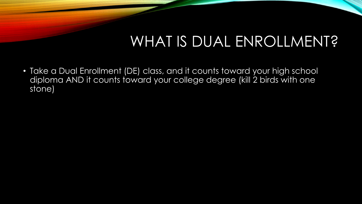### WHAT IS DUAL ENROLLMENT?

• Take a Dual Enrollment (DE) class, and it counts toward your high school diploma AND it counts toward your college degree (kill 2 birds with one stone)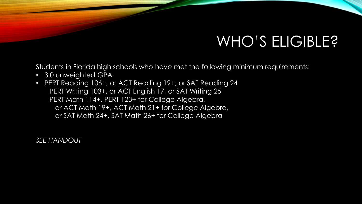## WHO'S ELIGIBLE?

Students in Florida high schools who have met the following minimum requirements:

- 3.0 unweighted GPA
- PERT Reading 106+, or ACT Reading 19+, or SAT Reading 24 PERT Writing 103+, or ACT English 17, or SAT Writing 25 PERT Math 114+, PERT 123+ for College Algebra, or ACT Math 19+, ACT Math 21+ for College Algebra, or SAT Math 24+, SAT Math 26+ for College Algebra

*SEE HANDOUT*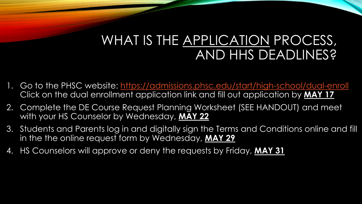### WHAT IS THE APPLICATION PROCESS, AND HHS DEADLINES?

- 1. Go to the PHSC website:<https://admissions.phsc.edu/start/high-school/dual-enroll> Click on the dual enrollment application link and fill out application by **MAY 17**
- 2. Complete the DE Course Request Planning Worksheet (SEE HANDOUT) and meet with your HS Counselor by Wednesday, **MAY 22**
- 3. Students and Parents log in and digitally sign the Terms and Conditions online and fill in the the online request form by Wednesday, **MAY 29**
- 4. HS Counselors will approve or deny the requests by Friday, **MAY 31**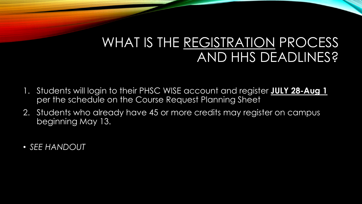#### WHAT IS THE REGISTRATION PROCESS AND HHS DEADLINES?

- 1. Students will login to their PHSC WISE account and register **JULY 28-Aug 1**  per the schedule on the Course Request Planning Sheet
- 2. Students who already have 45 or more credits may register on campus beginning May 13.
- *SEE HANDOUT*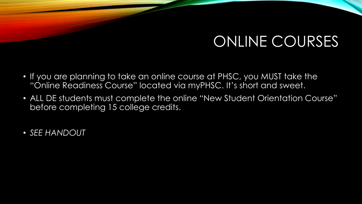## ONLINE COURSES

- If you are planning to take an online course at PHSC, you MUST take the "Online Readiness Course" located via myPHSC. It's short and sweet.
- ALL DE students must complete the online "New Student Orientation Course" before completing 15 college credits.
- *SEE HANDOUT*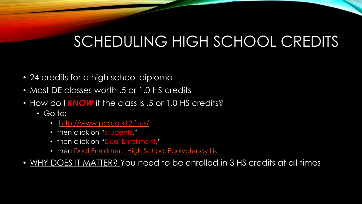# SCHEDULING HIGH SCHOOL CREDITS

- 24 credits for a high school diploma
- Most DE classes worth .5 or 1.0 HS credits
- How do I KNOW if the class is .5 or 1.0 HS credits?
	- Go to:
		- <http://www.pasco.k12.fl.us/>
		- then click on "Students,"
		- then click on "Dual Enrollment,"
		- then [Dual Enrollment High School Equivalency List](http://fldoe.org/core/fileparse.php/5421/urlt/0078394-delist.pdf)
- WHY DOES IT MATTER? You need to be enrolled in 3 HS credits at all times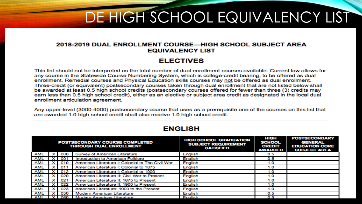# DE HIGH SCHOOL EQUIVALENCY LIST

#### 2018-2019 DUAL ENROLLMENT COURSE—HIGH SCHOOL SUBJECT AREA **EQUIVALENCY LIST**

#### **ELECTIVES**

This list should not be interpreted as the total number of dual enrollment courses available. Current law allows for any course in the Statewide Course Numbering System, which is college-credit bearing, to be offered as dual enrollment. Remedial courses and Physical Education skills courses may not be offered as dual enrollment. Three-credit (or equivalent) postsecondary courses taken through dual enrollment that are not listed below shall be awarded at least 0.5 high school credits (postsecondary courses offered for fewer than three (3) credits may earn less than 0.5 high school credit), either as an elective or subject area credit as designated in the local dual enrollment articulation agreement.

Any upper-level (3000-4000) postsecondary course that uses as a prerequisite one of the courses on this list that are awarded 1.0 high school credit shall also receive 1.0 high school credit.

| <b>POSTSECONDARY COURSE COMPLETED</b><br><b>THROUGH DUAL ENROLLMENT</b> |            |     |                                                  | <b>HIGH SCHOOL GRADUATION</b><br><b>SUBJECT REQUIREMENT</b><br><b>SATISFIED</b> | HIGH<br><b>SCHOOL</b><br><b>CREDIT</b><br><b>AWARDED</b> | <b>POSTSECONDARY</b><br><b>GENERAL</b><br><b>EDUCATION CORE</b><br><b>SUBJECT AREA</b> |
|-------------------------------------------------------------------------|------------|-----|--------------------------------------------------|---------------------------------------------------------------------------------|----------------------------------------------------------|----------------------------------------------------------------------------------------|
| AML                                                                     | ×          | 000 | Survey of American Literature                    | English                                                                         | 0.5                                                      |                                                                                        |
| AML                                                                     |            | 001 | Introduction to American Folklore                | English                                                                         | 0.5                                                      |                                                                                        |
| <b>AML</b>                                                              | $\times$ 1 | 010 | American Literature I: Colonial to The Civil War | English                                                                         | 1.0                                                      |                                                                                        |
| <b>AML</b>                                                              |            | 011 | American Literature I: Colonial to 1875          | English                                                                         | 1.0                                                      |                                                                                        |
| AML                                                                     |            | 012 | American Literature I: Colonial to 1900          | English                                                                         | 1.0                                                      |                                                                                        |
| <b>AML</b>                                                              | $\times$   | 020 | American Literature II: Civil War to Present     | English                                                                         | 1.0                                                      |                                                                                        |
| <b>AML</b>                                                              | ×          | 021 | American Literature II: 1875 to Present          | English                                                                         | 1.0                                                      |                                                                                        |
| AML                                                                     | $\times$ 1 | 022 | American Literature II: 1900 to Present          | English                                                                         | 1.0                                                      |                                                                                        |
| <b>AML</b>                                                              | ×          | 023 | American Literature: 1900 to the Present         | English                                                                         | 1.0                                                      |                                                                                        |
| AML                                                                     |            | 050 | Modern American Literature                       | English                                                                         | 0.5                                                      |                                                                                        |
| AML                                                                     |            | 060 | Modern American Literature                       | English                                                                         | 0.5                                                      |                                                                                        |

#### **ENGLISH**